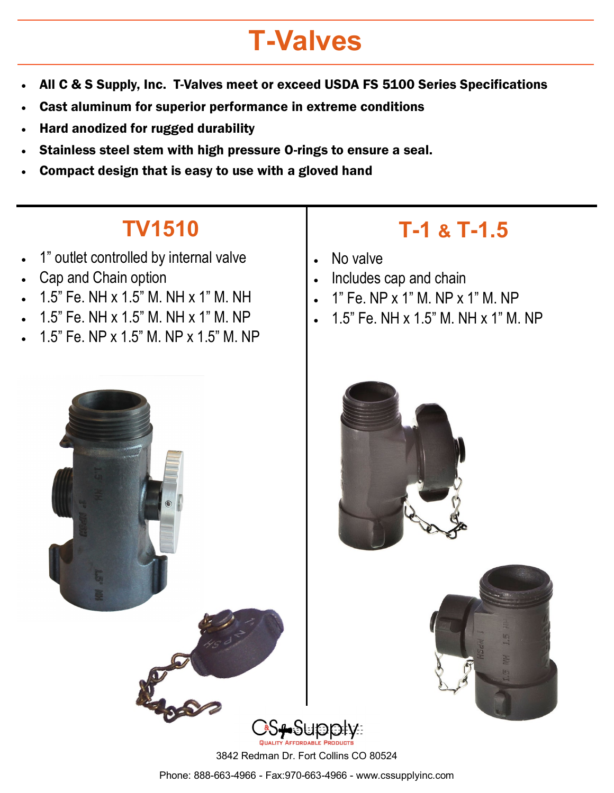## **T-Valves**

- All C & S Supply, Inc. T-Valves meet or exceed USDA FS 5100 Series Specifications
- Cast aluminum for superior performance in extreme conditions
- Hard anodized for rugged durability
- Stainless steel stem with high pressure O-rings to ensure a seal.
- Compact design that is easy to use with a gloved hand

## **TV1510**

- 1" outlet controlled by internal valve
- Cap and Chain option
- 1.5" Fe. NH x 1.5" M. NH x 1" M. NH
- 1.5" Fe. NH x 1.5" M. NH x 1" M. NP
- 1.5" Fe. NP x 1.5" M. NP x 1.5" M. NP

## **T-1 & T-1.5**

- No valve
- Includes cap and chain
- 1" Fe. NP x 1" M. NP x 1" M. NP
- 1.5" Fe. NH x 1.5" M. NH x 1" M. NP







3842 Redman Dr. Fort Collins CO 80524

Phone: 888-663-4966 - Fax:970-663-4966 - www.cssupplyinc.com